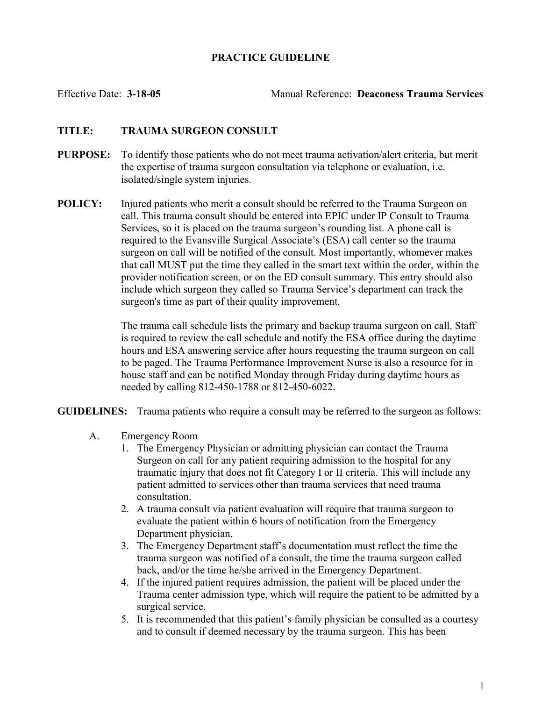## PRACTICE GUIDELINE

Effective Date: 3-18-05 Manual Reference: Deaconess Trauma Services

## TITLE: TRAUMA SURGEON CONSULT

- PURPOSE: To identify those patients who do not meet trauma activation/alert criteria, but merit the expertise of trauma surgeon consultation via telephone or evaluation, i.e. isolated/single system injuries.
- **POLICY:** Injured patients who merit a consult should be referred to the Trauma Surgeon on call. This trauma consult should be entered into EPIC under IP Consult to Trauma Services, so it is placed on the trauma surgeon's rounding list. A phone call is required to the Evansville Surgical Associate's (ESA) call center so the trauma surgeon on call will be notified of the consult. Most importantly, whomever makes that call MUST put the time they called in the smart text within the order, within the provider notification screen, or on the ED consult summary. This entry should also include which surgeon they called so Trauma Service's department can track the surgeon's time as part of their quality improvement.

The trauma call schedule lists the primary and backup trauma surgeon on call. Staff is required to review the call schedule and notify the ESA office during the daytime hours and ESA answering service after hours requesting the trauma surgeon on call to be paged. The Trauma Performance Improvement Nurse is also a resource for in house staff and can be notified Monday through Friday during daytime hours as needed by calling 812-450-1788 or 812-450-6022.

GUIDELINES: Trauma patients who require a consult may be referred to the surgeon as follows:

- A. Emergency Room
	- 1. The Emergency Physician or admitting physician can contact the Trauma Surgeon on call for any patient requiring admission to the hospital for any traumatic injury that does not fit Category I or II criteria. This will include any patient admitted to services other than trauma services that need trauma consultation.
	- 2. A trauma consult via patient evaluation will require that trauma surgeon to evaluate the patient within 6 hours of notification from the Emergency Department physician.
	- 3. The Emergency Department staff's documentation must reflect the time the trauma surgeon was notified of a consult, the time the trauma surgeon called back, and/or the time he/she arrived in the Emergency Department.
	- 4. If the injured patient requires admission, the patient will be placed under the Trauma center admission type, which will require the patient to be admitted by a surgical service.
	- 5. It is recommended that this patient's family physician be consulted as a courtesy and to consult if deemed necessary by the trauma surgeon. This has been